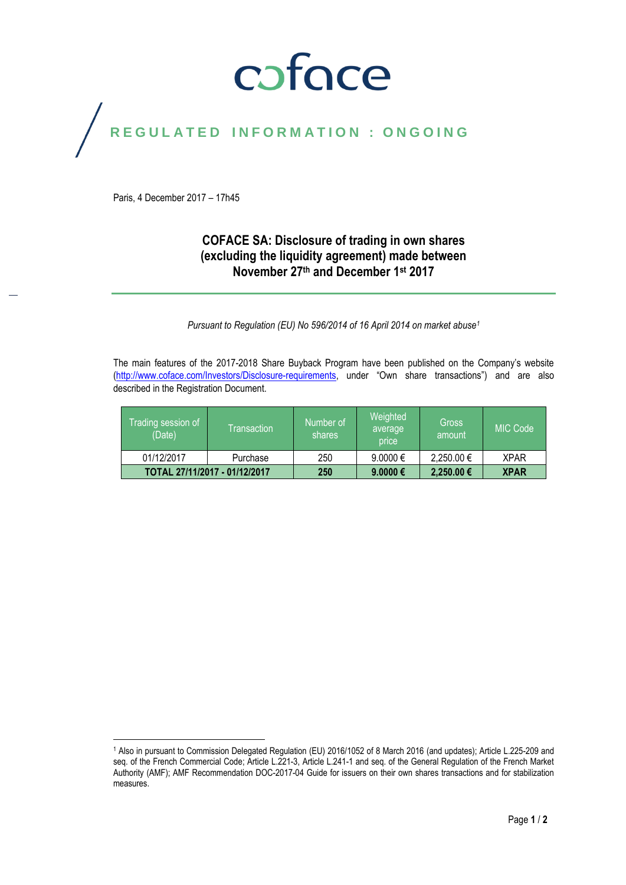## coface

# REGULATED INFORMATION : ONGOING

Paris, 4 December 2017 – 17h45

#### **COFACE SA: Disclosure of trading in own shares (excluding the liquidity agreement) made between November 27 th and December 1st 2017**

*Pursuant to Regulation (EU) No 596/2014 of 16 April 2014 on market abuse<sup>1</sup>*

The main features of the 2017-2018 Share Buyback Program have been published on the Company's website [\(http://www.coface.com/Investors/Disclosure-requirements](http://www.coface.com/Investors/Disclosure-requirements), under "Own share transactions") and are also described in the Registration Document.

| Trading session of j<br>(Date) | Transaction | Number of<br>shares | Weighted<br>average<br>price | <b>Gross</b><br>amount | <b>MIC Code</b> |
|--------------------------------|-------------|---------------------|------------------------------|------------------------|-----------------|
| 01/12/2017                     | Purchase    | 250                 | $9.0000 \in$                 | 2,250.00 €             | <b>XPAR</b>     |
| TOTAL 27/11/2017 - 01/12/2017  |             | 250                 | 9.0000 €                     | 2,250.00 €             | <b>XPAR</b>     |

 $\overline{a}$ <sup>1</sup> Also in pursuant to Commission Delegated Regulation (EU) 2016/1052 of 8 March 2016 (and updates); Article L.225-209 and seq. of the French Commercial Code; Article L.221-3, Article L.241-1 and seq. of the General Regulation of the French Market Authority (AMF); AMF Recommendation DOC-2017-04 Guide for issuers on their own shares transactions and for stabilization measures.